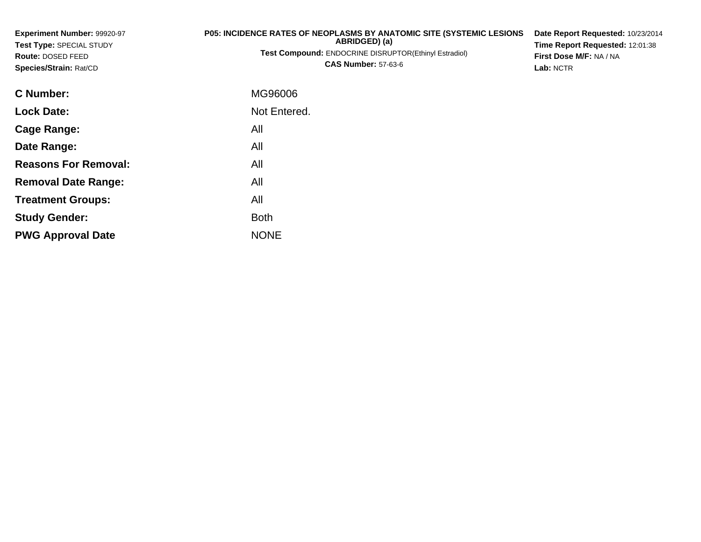| Experiment Number: 99920-97<br>Test Type: SPECIAL STUDY<br>Route: DOSED FEED<br>Species/Strain: Rat/CD | <b>P05: INCIDENCE RATES OF NEOPLASMS BY ANATOMIC SITE (SYSTEMIC LESIONS)</b><br>ABRIDGED) (a)<br><b>Test Compound: ENDOCRINE DISRUPTOR(Ethinyl Estradiol)</b><br><b>CAS Number: 57-63-6</b> | Date Report Requested: 10/23/2014<br>Time Report Requested: 12:01:38<br>First Dose M/F: NA / NA<br>Lab: NCTR |
|--------------------------------------------------------------------------------------------------------|---------------------------------------------------------------------------------------------------------------------------------------------------------------------------------------------|--------------------------------------------------------------------------------------------------------------|
| C Number:                                                                                              | MG96006                                                                                                                                                                                     |                                                                                                              |
| <b>Lock Date:</b>                                                                                      | Not Entered.                                                                                                                                                                                |                                                                                                              |
| <b>Cage Range:</b>                                                                                     | All                                                                                                                                                                                         |                                                                                                              |
| Date Range:                                                                                            | All                                                                                                                                                                                         |                                                                                                              |
| <b>Reasons For Removal:</b>                                                                            | All                                                                                                                                                                                         |                                                                                                              |
| <b>Removal Date Range:</b>                                                                             | All                                                                                                                                                                                         |                                                                                                              |

**Treatment Groups:**

**PWG Approval Date**

**Study Gender:**

All

e NONE

Both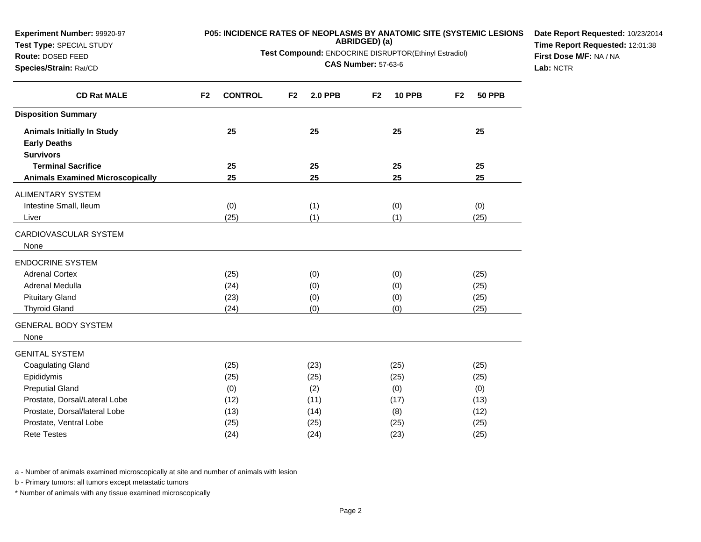| ABRIDGED) (a)<br>Test Type: SPECIAL STUDY<br>Test Compound: ENDOCRINE DISRUPTOR(Ethinyl Estradiol)<br>Route: DOSED FEED<br><b>CAS Number: 57-63-6</b><br>Species/Strain: Rat/CD |                |                |    |                |                |               |                |               | Time Report Requested: 12:01:38<br>First Dose M/F: NA / NA<br>Lab: NCTR |
|---------------------------------------------------------------------------------------------------------------------------------------------------------------------------------|----------------|----------------|----|----------------|----------------|---------------|----------------|---------------|-------------------------------------------------------------------------|
| <b>CD Rat MALE</b>                                                                                                                                                              | F <sub>2</sub> | <b>CONTROL</b> | F2 | <b>2.0 PPB</b> | F <sub>2</sub> | <b>10 PPB</b> | F <sub>2</sub> | <b>50 PPB</b> |                                                                         |
| <b>Disposition Summary</b>                                                                                                                                                      |                |                |    |                |                |               |                |               |                                                                         |
| <b>Animals Initially In Study</b><br><b>Early Deaths</b>                                                                                                                        |                | 25             |    | 25             |                | 25            |                | 25            |                                                                         |
| <b>Survivors</b><br><b>Terminal Sacrifice</b>                                                                                                                                   |                | 25             |    | 25             |                | 25            |                | 25            |                                                                         |
| <b>Animals Examined Microscopically</b>                                                                                                                                         |                | 25             |    | 25             |                | 25            |                | 25            |                                                                         |
| <b>ALIMENTARY SYSTEM</b>                                                                                                                                                        |                |                |    |                |                |               |                |               |                                                                         |
| Intestine Small, Ileum                                                                                                                                                          |                | (0)            |    | (1)            |                | (0)           |                | (0)           |                                                                         |
| Liver                                                                                                                                                                           |                | (25)           |    | (1)            |                | (1)           |                | (25)          |                                                                         |
| CARDIOVASCULAR SYSTEM<br>None                                                                                                                                                   |                |                |    |                |                |               |                |               |                                                                         |
| <b>ENDOCRINE SYSTEM</b>                                                                                                                                                         |                |                |    |                |                |               |                |               |                                                                         |
| <b>Adrenal Cortex</b>                                                                                                                                                           |                | (25)           |    | (0)            |                | (0)           |                | (25)          |                                                                         |
| Adrenal Medulla                                                                                                                                                                 |                | (24)           |    | (0)            |                | (0)           |                | (25)          |                                                                         |
| <b>Pituitary Gland</b>                                                                                                                                                          |                | (23)           |    | (0)            |                | (0)           |                | (25)          |                                                                         |
| Thyroid Gland                                                                                                                                                                   |                | (24)           |    | (0)            |                | (0)           |                | (25)          |                                                                         |
| <b>GENERAL BODY SYSTEM</b><br>None                                                                                                                                              |                |                |    |                |                |               |                |               |                                                                         |
| <b>GENITAL SYSTEM</b>                                                                                                                                                           |                |                |    |                |                |               |                |               |                                                                         |
| <b>Coagulating Gland</b>                                                                                                                                                        |                | (25)           |    | (23)           |                | (25)          |                | (25)          |                                                                         |
| Epididymis                                                                                                                                                                      |                | (25)           |    | (25)           |                | (25)          |                | (25)          |                                                                         |
| <b>Preputial Gland</b>                                                                                                                                                          |                | (0)            |    | (2)            |                | (0)           |                | (0)           |                                                                         |
| Prostate, Dorsal/Lateral Lobe                                                                                                                                                   |                | (12)           |    | (11)           |                | (17)          |                | (13)          |                                                                         |
| Prostate, Dorsal/lateral Lobe                                                                                                                                                   |                | (13)           |    | (14)           |                | (8)           |                | (12)          |                                                                         |
| Prostate, Ventral Lobe                                                                                                                                                          |                | (25)           |    | (25)           |                | (25)          |                | (25)          |                                                                         |
| <b>Rete Testes</b>                                                                                                                                                              |                | (24)           |    | (24)           |                | (23)          |                | (25)          |                                                                         |

a - Number of animals examined microscopically at site and number of animals with lesion

b - Primary tumors: all tumors except metastatic tumors

**Experiment Number:** 99920-97**Test Type:** SPECIAL STUDY

\* Number of animals with any tissue examined microscopically

**P05: INCIDENCE RATES OF NEOPLASMS BY ANATOMIC SITE (SYSTEMIC LESIONS ABRIDGED) (a)**

**Date Report Requested:** 10/23/2014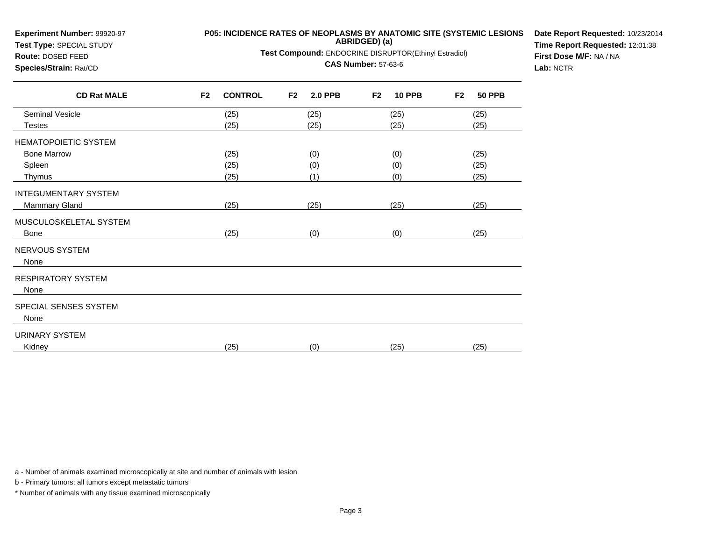| <b>Experiment Number: 99920-97</b><br>Test Type: SPECIAL STUDY<br>Route: DOSED FEED<br>Species/Strain: Rat/CD |                | <b>P05: INCIDENCE RATES OF NEOPLASMS BY ANATOMIC SITE (SYSTEMIC LESIONS</b><br>Test Compound: ENDOCRINE DISRUPTOR(Ethinyl Estradiol) | Date Report Requested: 10/23/201<br>Time Report Requested: 12:01:38<br>First Dose M/F: NA / NA<br>Lab: NCTR |                |                |               |                |               |  |
|---------------------------------------------------------------------------------------------------------------|----------------|--------------------------------------------------------------------------------------------------------------------------------------|-------------------------------------------------------------------------------------------------------------|----------------|----------------|---------------|----------------|---------------|--|
| <b>CD Rat MALE</b>                                                                                            | F <sub>2</sub> | <b>CONTROL</b>                                                                                                                       | F <sub>2</sub>                                                                                              | <b>2.0 PPB</b> | F <sub>2</sub> | <b>10 PPB</b> | F <sub>2</sub> | <b>50 PPB</b> |  |
| Seminal Vesicle                                                                                               |                | (25)                                                                                                                                 |                                                                                                             | (25)           |                | (25)          |                | (25)          |  |
| <b>Testes</b>                                                                                                 |                | (25)                                                                                                                                 |                                                                                                             | (25)           |                | (25)          |                | (25)          |  |
| <b>HEMATOPOIETIC SYSTEM</b>                                                                                   |                |                                                                                                                                      |                                                                                                             |                |                |               |                |               |  |
| <b>Bone Marrow</b>                                                                                            |                | (25)                                                                                                                                 |                                                                                                             | (0)            |                | (0)           |                | (25)          |  |
| Spleen                                                                                                        |                | (25)                                                                                                                                 |                                                                                                             | (0)            |                | (0)           |                | (25)          |  |
| Thymus                                                                                                        |                | (25)                                                                                                                                 |                                                                                                             | (1)            |                | (0)           |                | (25)          |  |
| <b>INTEGUMENTARY SYSTEM</b>                                                                                   |                |                                                                                                                                      |                                                                                                             |                |                |               |                |               |  |
| Mammary Gland                                                                                                 |                | (25)                                                                                                                                 |                                                                                                             | (25)           |                | (25)          |                | (25)          |  |
| MUSCULOSKELETAL SYSTEM                                                                                        |                |                                                                                                                                      |                                                                                                             |                |                |               |                |               |  |
| <b>Bone</b>                                                                                                   |                | (25)                                                                                                                                 |                                                                                                             | (0)            |                | (0)           |                | (25)          |  |
| <b>NERVOUS SYSTEM</b><br>None                                                                                 |                |                                                                                                                                      |                                                                                                             |                |                |               |                |               |  |
| <b>RESPIRATORY SYSTEM</b><br>None                                                                             |                |                                                                                                                                      |                                                                                                             |                |                |               |                |               |  |
| SPECIAL SENSES SYSTEM<br>None                                                                                 |                |                                                                                                                                      |                                                                                                             |                |                |               |                |               |  |
| <b>URINARY SYSTEM</b><br>Kidney                                                                               |                | (25)                                                                                                                                 |                                                                                                             | (0)            |                | (25)          |                | (25)          |  |
|                                                                                                               |                |                                                                                                                                      |                                                                                                             |                |                |               |                |               |  |

**Date Report Requested:** 10/23/2014

## a - Number of animals examined microscopically at site and number of animals with lesion

b - Primary tumors: all tumors except metastatic tumors

**Experiment Number:** 99920-97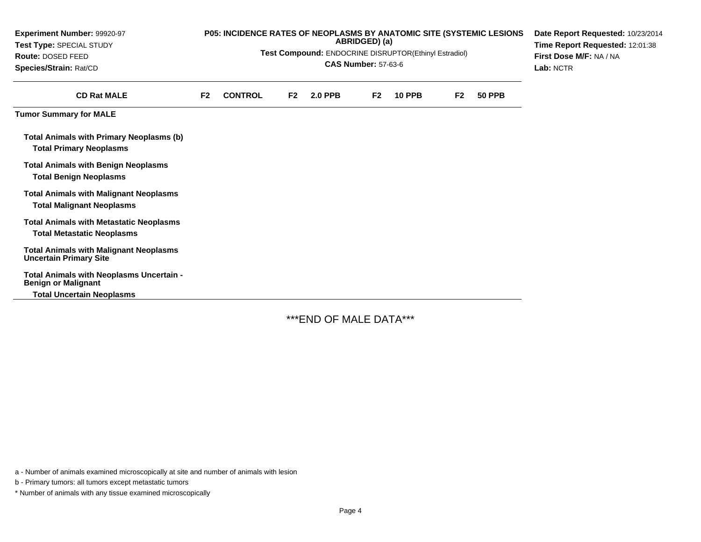| Experiment Number: 99920-97<br>Test Type: SPECIAL STUDY<br>Route: DOSED FEED<br>Species/Strain: Rat/CD |                | P05: INCIDENCE RATES OF NEOPLASMS BY ANATOMIC SITE (SYSTEMIC LESIONS<br>Test Compound: ENDOCRINE DISRUPTOR(Ethinyl Estradiol) | Date Report Requested: 10/23/2014<br>Time Report Requested: 12:01:38<br>First Dose M/F: NA / NA<br>Lab: NCTR |                |                |               |                |               |  |
|--------------------------------------------------------------------------------------------------------|----------------|-------------------------------------------------------------------------------------------------------------------------------|--------------------------------------------------------------------------------------------------------------|----------------|----------------|---------------|----------------|---------------|--|
| <b>CD Rat MALE</b>                                                                                     | F <sub>2</sub> | <b>CONTROL</b>                                                                                                                | F2                                                                                                           | <b>2.0 PPB</b> | F <sub>2</sub> | <b>10 PPB</b> | F <sub>2</sub> | <b>50 PPB</b> |  |
| <b>Tumor Summary for MALE</b>                                                                          |                |                                                                                                                               |                                                                                                              |                |                |               |                |               |  |
| <b>Total Animals with Primary Neoplasms (b)</b><br><b>Total Primary Neoplasms</b>                      |                |                                                                                                                               |                                                                                                              |                |                |               |                |               |  |
| <b>Total Animals with Benign Neoplasms</b><br><b>Total Benign Neoplasms</b>                            |                |                                                                                                                               |                                                                                                              |                |                |               |                |               |  |
| <b>Total Animals with Malignant Neoplasms</b><br><b>Total Malignant Neoplasms</b>                      |                |                                                                                                                               |                                                                                                              |                |                |               |                |               |  |
| <b>Total Animals with Metastatic Neoplasms</b>                                                         |                |                                                                                                                               |                                                                                                              |                |                |               |                |               |  |
| <b>Total Metastatic Neoplasms</b>                                                                      |                |                                                                                                                               |                                                                                                              |                |                |               |                |               |  |
| <b>Total Animals with Malignant Neoplasms</b><br><b>Uncertain Primary Site</b>                         |                |                                                                                                                               |                                                                                                              |                |                |               |                |               |  |
| Total Animals with Neoplasms Uncertain -<br><b>Benign or Malignant</b>                                 |                |                                                                                                                               |                                                                                                              |                |                |               |                |               |  |
| <b>Total Uncertain Neoplasms</b>                                                                       |                |                                                                                                                               |                                                                                                              |                |                |               |                |               |  |

\*\*\*END OF MALE DATA\*\*\*

a - Number of animals examined microscopically at site and number of animals with lesion

b - Primary tumors: all tumors except metastatic tumors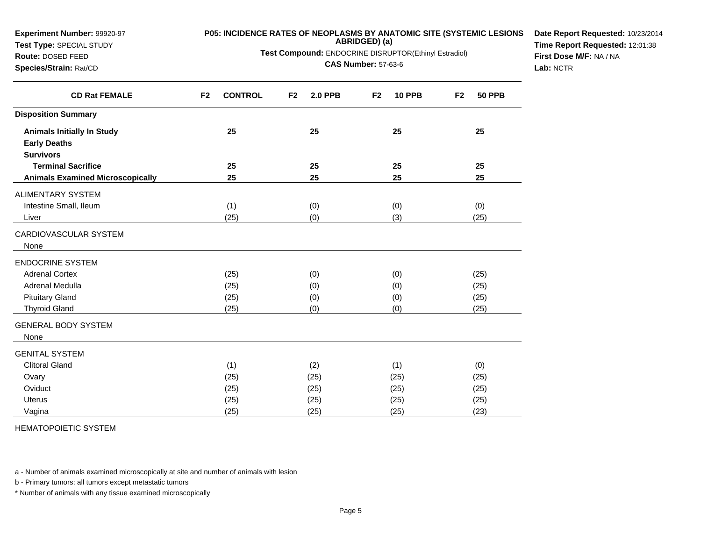| <b>Experiment Number: 99920-97</b>                       | <b>P05: INCIDENCE RATES OF NEOPLASMS BY ANATOMIC SITE (SYSTEMIC LESIONS</b><br>ABRIDGED) (a) |                |                         |                                                       |    |               |                |               |                                 |
|----------------------------------------------------------|----------------------------------------------------------------------------------------------|----------------|-------------------------|-------------------------------------------------------|----|---------------|----------------|---------------|---------------------------------|
| Test Type: SPECIAL STUDY                                 |                                                                                              |                |                         | Test Compound: ENDOCRINE DISRUPTOR(Ethinyl Estradiol) |    |               |                |               | Time Report Requested: 12:01:38 |
| Route: DOSED FEED                                        |                                                                                              |                | First Dose M/F: NA / NA |                                                       |    |               |                |               |                                 |
| Species/Strain: Rat/CD                                   | <b>CAS Number: 57-63-6</b>                                                                   |                |                         |                                                       |    |               |                |               | Lab: NCTR                       |
| <b>CD Rat FEMALE</b>                                     | F <sub>2</sub>                                                                               | <b>CONTROL</b> | F <sub>2</sub>          | <b>2.0 PPB</b>                                        | F2 | <b>10 PPB</b> | F <sub>2</sub> | <b>50 PPB</b> |                                 |
| <b>Disposition Summary</b>                               |                                                                                              |                |                         |                                                       |    |               |                |               |                                 |
| <b>Animals Initially In Study</b><br><b>Early Deaths</b> |                                                                                              | 25             |                         | 25                                                    |    | 25            |                | 25            |                                 |
| <b>Survivors</b>                                         |                                                                                              |                |                         |                                                       |    |               |                |               |                                 |
| <b>Terminal Sacrifice</b>                                |                                                                                              | 25             |                         | 25                                                    |    | 25            |                | 25            |                                 |
| <b>Animals Examined Microscopically</b>                  |                                                                                              | 25             |                         | 25                                                    |    | 25            |                | 25            |                                 |
| ALIMENTARY SYSTEM                                        |                                                                                              |                |                         |                                                       |    |               |                |               |                                 |
| Intestine Small, Ileum                                   |                                                                                              | (1)            |                         | (0)                                                   |    | (0)           |                | (0)           |                                 |
| Liver                                                    |                                                                                              | (25)           |                         | (0)                                                   |    | (3)           |                | (25)          |                                 |
| CARDIOVASCULAR SYSTEM<br>None                            |                                                                                              |                |                         |                                                       |    |               |                |               |                                 |
| <b>ENDOCRINE SYSTEM</b>                                  |                                                                                              |                |                         |                                                       |    |               |                |               |                                 |
| <b>Adrenal Cortex</b>                                    |                                                                                              | (25)           |                         | (0)                                                   |    | (0)           |                | (25)          |                                 |
| Adrenal Medulla                                          |                                                                                              | (25)           |                         | (0)                                                   |    | (0)           |                | (25)          |                                 |
| <b>Pituitary Gland</b>                                   |                                                                                              | (25)           |                         | (0)                                                   |    | (0)           |                | (25)          |                                 |
| <b>Thyroid Gland</b>                                     |                                                                                              | (25)           |                         | (0)                                                   |    | (0)           |                | (25)          |                                 |
| <b>GENERAL BODY SYSTEM</b>                               |                                                                                              |                |                         |                                                       |    |               |                |               |                                 |
| None                                                     |                                                                                              |                |                         |                                                       |    |               |                |               |                                 |
| <b>GENITAL SYSTEM</b>                                    |                                                                                              |                |                         |                                                       |    |               |                |               |                                 |
| <b>Clitoral Gland</b>                                    |                                                                                              | (1)            |                         | (2)                                                   |    | (1)           |                | (0)           |                                 |
| Ovary                                                    |                                                                                              | (25)           |                         | (25)                                                  |    | (25)          |                | (25)          |                                 |
| Oviduct                                                  |                                                                                              | (25)           |                         | (25)                                                  |    | (25)          |                | (25)          |                                 |
| Uterus                                                   |                                                                                              | (25)           |                         | (25)                                                  |    | (25)          |                | (25)          |                                 |
| Vagina                                                   |                                                                                              | (25)           |                         | (25)                                                  |    | (25)          |                | (23)          |                                 |

HEMATOPOIETIC SYSTEM

**Experiment Number:** 99920-97

a - Number of animals examined microscopically at site and number of animals with lesion

b - Primary tumors: all tumors except metastatic tumors

\* Number of animals with any tissue examined microscopically

**Date Report Requested:** 10/23/2014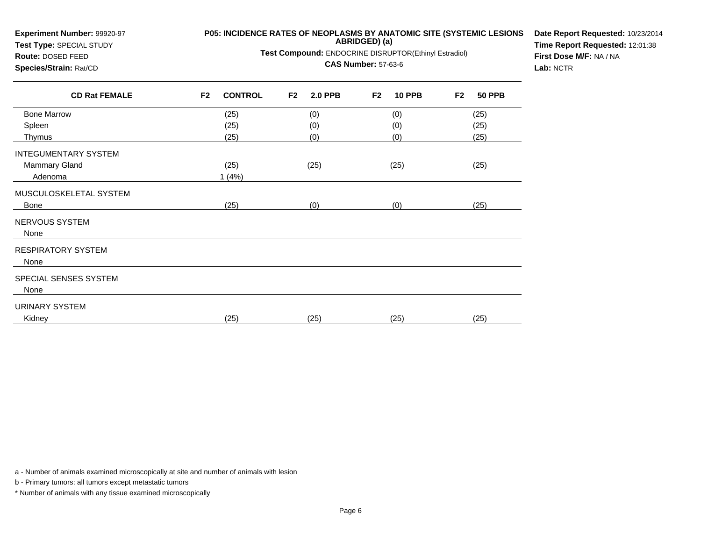| Experiment Number: 99920-97<br>Test Type: SPECIAL STUDY | P05: INCIDENCE RATES OF NEOPLASMS BY ANATOMIC SITE (SYSTEMIC LESIONS | Date Report Requested: 10/23/2014<br>Time Report Requested: 12:01:38 |                                 |                                 |  |
|---------------------------------------------------------|----------------------------------------------------------------------|----------------------------------------------------------------------|---------------------------------|---------------------------------|--|
| Route: DOSED FEED                                       | Test Compound: ENDOCRINE DISRUPTOR(Ethinyl Estradiol)                | First Dose M/F: NA / NA                                              |                                 |                                 |  |
| Species/Strain: Rat/CD<br><b>CD Rat FEMALE</b>          |                                                                      | Lab: NCTR                                                            |                                 |                                 |  |
|                                                         | <b>CONTROL</b><br>F <sub>2</sub>                                     | <b>2.0 PPB</b><br>F <sub>2</sub>                                     | <b>10 PPB</b><br>F <sub>2</sub> | F <sub>2</sub><br><b>50 PPB</b> |  |
| <b>Bone Marrow</b>                                      | (25)                                                                 | (0)                                                                  | (0)                             | (25)                            |  |
| Spleen                                                  | (25)                                                                 | (0)                                                                  | (0)                             | (25)                            |  |
| Thymus                                                  | (25)                                                                 | (0)                                                                  | (0)                             | (25)                            |  |
| <b>INTEGUMENTARY SYSTEM</b>                             |                                                                      |                                                                      |                                 |                                 |  |
| Mammary Gland                                           | (25)                                                                 | (25)                                                                 | (25)                            | (25)                            |  |
| Adenoma                                                 | 1(4%)                                                                |                                                                      |                                 |                                 |  |
| MUSCULOSKELETAL SYSTEM                                  |                                                                      |                                                                      |                                 |                                 |  |
| Bone                                                    | (25)                                                                 | (0)                                                                  | (0)                             | (25)                            |  |
| NERVOUS SYSTEM<br>None                                  |                                                                      |                                                                      |                                 |                                 |  |
| <b>RESPIRATORY SYSTEM</b><br>None                       |                                                                      |                                                                      |                                 |                                 |  |
| SPECIAL SENSES SYSTEM<br>None                           |                                                                      |                                                                      |                                 |                                 |  |
| <b>URINARY SYSTEM</b>                                   |                                                                      |                                                                      |                                 |                                 |  |
| Kidney                                                  | (25)                                                                 | (25)                                                                 | (25)                            | (25)                            |  |

a - Number of animals examined microscopically at site and number of animals with lesion

b - Primary tumors: all tumors except metastatic tumors